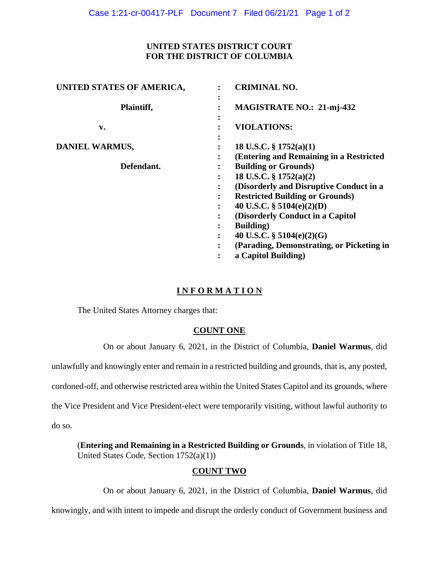## **UNITED STATES DISTRICT COURT FOR THE DISTRICT OF COLUMBIA**

| UNITED STATES OF AMERICA, |                      | <b>CRIMINAL NO.</b>                                                    |
|---------------------------|----------------------|------------------------------------------------------------------------|
| Plaintiff,                | ٠<br>$\bullet$<br>٠  | <b>MAGISTRATE NO.: 21-mj-432</b>                                       |
| $\mathbf{v}$ .            | ٠                    | <b>VIOLATIONS:</b>                                                     |
| DANIEL WARMUS,            | ٠                    | 18 U.S.C. $\S$ 1752(a)(1)                                              |
| Defendant.                |                      | (Entering and Remaining in a Restricted<br><b>Building or Grounds)</b> |
|                           | ٠                    | 18 U.S.C. § 1752(a)(2)                                                 |
|                           | ٠                    | (Disorderly and Disruptive Conduct in a                                |
|                           | $\ddot{\phantom{a}}$ | <b>Restricted Building or Grounds)</b>                                 |
|                           | $\ddot{\cdot}$       | 40 U.S.C. $\S$ 5104(e)(2)(D)                                           |
|                           |                      | (Disorderly Conduct in a Capitol                                       |
|                           | :                    | <b>Building</b> )                                                      |
|                           | ٠                    | 40 U.S.C. $\S$ 5104(e)(2)(G)                                           |
|                           | $\ddot{\phantom{a}}$ | (Parading, Demonstrating, or Picketing in                              |
|                           | $\ddot{\cdot}$       | a Capitol Building)                                                    |

# **I N F O R M A T I O N**

The United States Attorney charges that:

## **COUNT ONE**

On or about January 6, 2021, in the District of Columbia, **Daniel Warmus**, did

unlawfully and knowingly enter and remain in a restricted building and grounds, that is, any posted,

cordoned-off, and otherwise restricted area within the United States Capitol and its grounds, where

the Vice President and Vice President-elect were temporarily visiting, without lawful authority to

do so.

(**Entering and Remaining in a Restricted Building or Grounds**, in violation of Title 18, United States Code, Section 1752(a)(1))

## **COUNT TWO**

On or about January 6, 2021, in the District of Columbia, **Daniel Warmus**, did

knowingly, and with intent to impede and disrupt the orderly conduct of Government business and